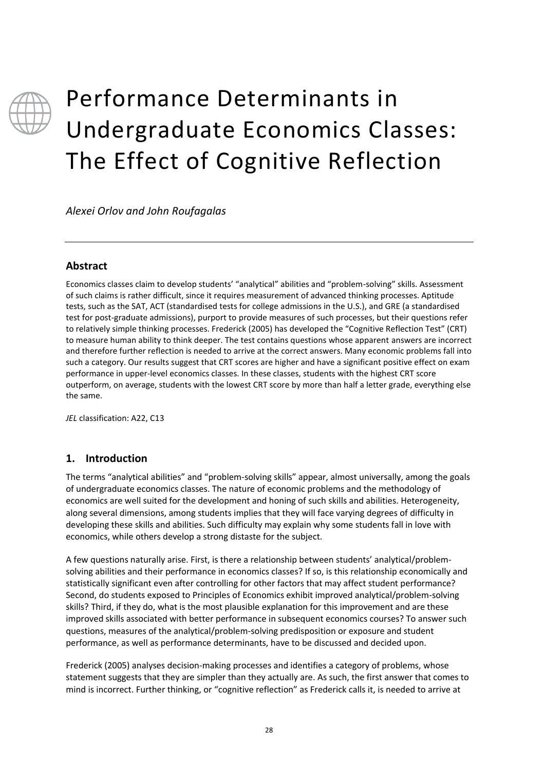

# Performance Determinants in Undergraduate Economics Classes: The Effect of Cognitive Reflection

*Alexei Orlov and John Roufagalas*

## **Abstract**

Economics classes claim to develop students' "analytical" abilities and "problem-solving" skills. Assessment of such claims is rather difficult, since it requires measurement of advanced thinking processes. Aptitude tests, such as the SAT, ACT (standardised tests for college admissions in the U.S.), and GRE (a standardised test for post-graduate admissions), purport to provide measures of such processes, but their questions refer to relatively simple thinking processes. Frederick (2005) has developed the "Cognitive Reflection Test" (CRT) to measure human ability to think deeper. The test contains questions whose apparent answers are incorrect and therefore further reflection is needed to arrive at the correct answers. Many economic problems fall into such a category. Our results suggest that CRT scores are higher and have a significant positive effect on exam performance in upper-level economics classes. In these classes, students with the highest CRT score outperform, on average, students with the lowest CRT score by more than half a letter grade, everything else the same.

*JEL* classification: A22, C13

## **1. Introduction**

The terms "analytical abilities" and "problem-solving skills" appear, almost universally, among the goals of undergraduate economics classes. The nature of economic problems and the methodology of economics are well suited for the development and honing of such skills and abilities. Heterogeneity, along several dimensions, among students implies that they will face varying degrees of difficulty in developing these skills and abilities. Such difficulty may explain why some students fall in love with economics, while others develop a strong distaste for the subject.

A few questions naturally arise. First, is there a relationship between students' analytical/problemsolving abilities and their performance in economics classes? If so, is this relationship economically and statistically significant even after controlling for other factors that may affect student performance? Second, do students exposed to Principles of Economics exhibit improved analytical/problem-solving skills? Third, if they do, what is the most plausible explanation for this improvement and are these improved skills associated with better performance in subsequent economics courses? To answer such questions, measures of the analytical/problem-solving predisposition or exposure and student performance, as well as performance determinants, have to be discussed and decided upon.

Frederick (2005) analyses decision-making processes and identifies a category of problems, whose statement suggests that they are simpler than they actually are. As such, the first answer that comes to mind is incorrect. Further thinking, or "cognitive reflection" as Frederick calls it, is needed to arrive at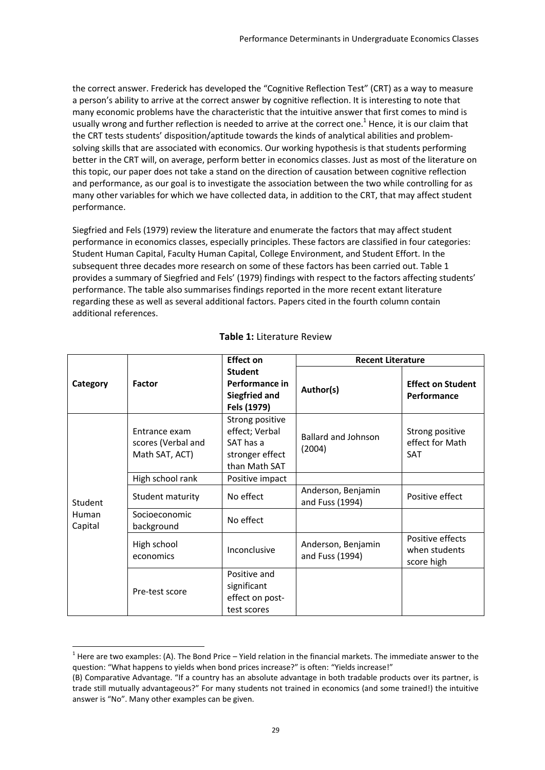the correct answer. Frederick has developed the "Cognitive Reflection Test" (CRT) as a way to measure a person's ability to arrive at the correct answer by cognitive reflection. It is interesting to note that many economic problems have the characteristic that the intuitive answer that first comes to mind is usually wrong and further reflection is needed to arrive at the correct one.<sup>1</sup> Hence, it is our claim that the CRT tests students' disposition/aptitude towards the kinds of analytical abilities and problemsolving skills that are associated with economics. Our working hypothesis is that students performing better in the CRT will, on average, perform better in economics classes. Just as most of the literature on this topic, our paper does not take a stand on the direction of causation between cognitive reflection and performance, as our goal is to investigate the association between the two while controlling for as many other variables for which we have collected data, in addition to the CRT, that may affect student performance.

Siegfried and Fels (1979) review the literature and enumerate the factors that may affect student performance in economics classes, especially principles. These factors are classified in four categories: Student Human Capital, Faculty Human Capital, College Environment, and Student Effort. In the subsequent three decades more research on some of these factors has been carried out. Table 1 provides a summary of Siegfried and Fels' (1979) findings with respect to the factors affecting students' performance. The table also summarises findings reported in the more recent extant literature regarding these as well as several additional factors. Papers cited in the fourth column contain additional references.

|                  |                                                       | <b>Effect on</b>                                                                   | <b>Recent Literature</b>              |                                                  |  |  |
|------------------|-------------------------------------------------------|------------------------------------------------------------------------------------|---------------------------------------|--------------------------------------------------|--|--|
| Category         | <b>Factor</b>                                         | <b>Student</b><br>Performance in<br>Siegfried and<br>Fels (1979)                   | Author(s)                             | <b>Effect on Student</b><br>Performance          |  |  |
|                  | Entrance exam<br>scores (Verbal and<br>Math SAT, ACT) | Strong positive<br>effect; Verbal<br>SAT has a<br>stronger effect<br>than Math SAT | Ballard and Johnson<br>(2004)         | Strong positive<br>effect for Math<br><b>SAT</b> |  |  |
| Student          | High school rank                                      | Positive impact                                                                    |                                       |                                                  |  |  |
|                  | Student maturity                                      | No effect                                                                          | Anderson, Benjamin<br>and Fuss (1994) | Positive effect                                  |  |  |
| Human<br>Capital | Socioeconomic<br>background                           | No effect                                                                          |                                       |                                                  |  |  |
|                  | High school<br>economics                              | Inconclusive                                                                       | Anderson, Benjamin<br>and Fuss (1994) | Positive effects<br>when students<br>score high  |  |  |
|                  | Pre-test score                                        | Positive and<br>significant<br>effect on post-<br>test scores                      |                                       |                                                  |  |  |

## **Table 1:** Literature Review

 $1$  Here are two examples: (A). The Bond Price – Yield relation in the financial markets. The immediate answer to the question: "What happens to yields when bond prices increase?" is often: "Yields increase!"

<sup>(</sup>B) Comparative Advantage. "If a country has an absolute advantage in both tradable products over its partner, is trade still mutually advantageous?" For many students not trained in economics (and some trained!) the intuitive answer is "No". Many other examples can be given.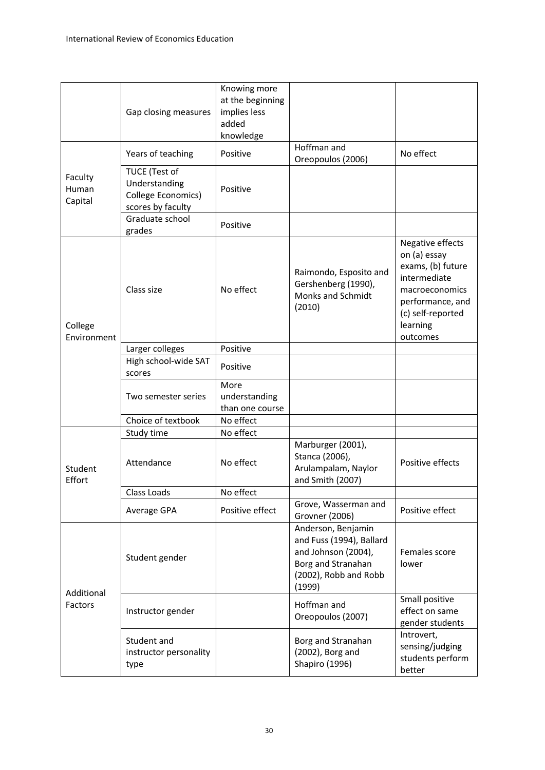|                              | Gap closing measures                                                      | Knowing more<br>at the beginning<br>implies less<br>added<br>knowledge |                                                                                                                                |                                                                                                                                                          |
|------------------------------|---------------------------------------------------------------------------|------------------------------------------------------------------------|--------------------------------------------------------------------------------------------------------------------------------|----------------------------------------------------------------------------------------------------------------------------------------------------------|
|                              | Years of teaching                                                         | Positive                                                               | Hoffman and<br>Oreopoulos (2006)                                                                                               | No effect                                                                                                                                                |
| Faculty<br>Human<br>Capital  | TUCE (Test of<br>Understanding<br>College Economics)<br>scores by faculty | Positive                                                               |                                                                                                                                |                                                                                                                                                          |
|                              | Graduate school<br>grades                                                 | Positive                                                               |                                                                                                                                |                                                                                                                                                          |
| College<br>Environment       | Class size                                                                | No effect                                                              | Raimondo, Esposito and<br>Gershenberg (1990),<br><b>Monks and Schmidt</b><br>(2010)                                            | Negative effects<br>on (a) essay<br>exams, (b) future<br>intermediate<br>macroeconomics<br>performance, and<br>(c) self-reported<br>learning<br>outcomes |
|                              | Larger colleges                                                           | Positive                                                               |                                                                                                                                |                                                                                                                                                          |
|                              | High school-wide SAT<br>scores                                            | Positive                                                               |                                                                                                                                |                                                                                                                                                          |
|                              | Two semester series                                                       | More<br>understanding<br>than one course                               |                                                                                                                                |                                                                                                                                                          |
|                              | Choice of textbook                                                        | No effect                                                              |                                                                                                                                |                                                                                                                                                          |
|                              | Study time                                                                | No effect                                                              |                                                                                                                                |                                                                                                                                                          |
| Student<br>Effort            | Attendance                                                                | No effect                                                              | Marburger (2001),<br>Stanca (2006),<br>Arulampalam, Naylor<br>and Smith (2007)                                                 | Positive effects                                                                                                                                         |
|                              | Class Loads                                                               | No effect                                                              |                                                                                                                                |                                                                                                                                                          |
|                              | Average GPA                                                               | Positive effect                                                        | Grove, Wasserman and<br>Grovner (2006)                                                                                         | Positive effect                                                                                                                                          |
| Additional<br><b>Factors</b> | Student gender                                                            |                                                                        | Anderson, Benjamin<br>and Fuss (1994), Ballard<br>and Johnson (2004),<br>Borg and Stranahan<br>(2002), Robb and Robb<br>(1999) | Females score<br>lower                                                                                                                                   |
|                              | Instructor gender                                                         |                                                                        | Hoffman and<br>Oreopoulos (2007)                                                                                               | Small positive<br>effect on same<br>gender students                                                                                                      |
|                              | Student and<br>instructor personality<br>type                             |                                                                        | Borg and Stranahan<br>(2002), Borg and<br><b>Shapiro (1996)</b>                                                                | Introvert,<br>sensing/judging<br>students perform<br>better                                                                                              |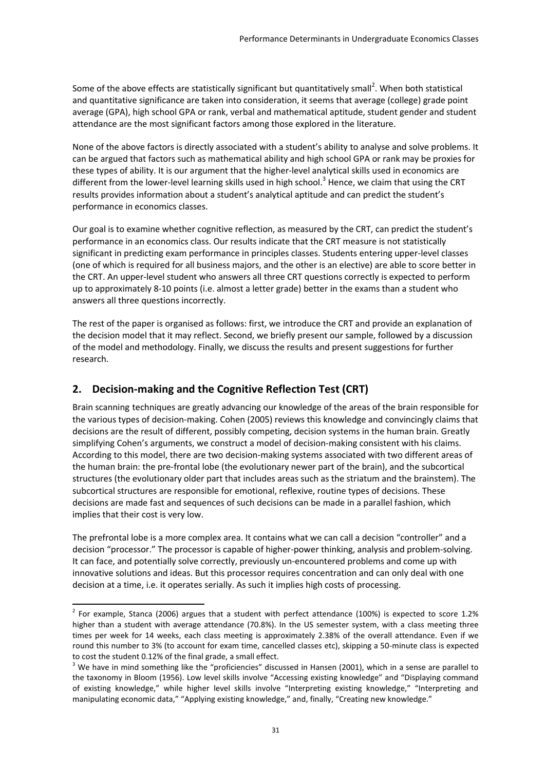Some of the above effects are statistically significant but quantitatively small<sup>2</sup>. When both statistical and quantitative significance are taken into consideration, it seems that average (college) grade point average (GPA), high school GPA or rank, verbal and mathematical aptitude, student gender and student attendance are the most significant factors among those explored in the literature.

None of the above factors is directly associated with a student's ability to analyse and solve problems. It can be argued that factors such as mathematical ability and high school GPA or rank may be proxies for these types of ability. It is our argument that the higher-level analytical skills used in economics are different from the lower-level learning skills used in high school.<sup>3</sup> Hence, we claim that using the CRT results provides information about a student's analytical aptitude and can predict the student's performance in economics classes.

Our goal is to examine whether cognitive reflection, as measured by the CRT, can predict the student's performance in an economics class. Our results indicate that the CRT measure is not statistically significant in predicting exam performance in principles classes. Students entering upper-level classes (one of which is required for all business majors, and the other is an elective) are able to score better in the CRT. An upper-level student who answers all three CRT questions correctly is expected to perform up to approximately 8-10 points (i.e. almost a letter grade) better in the exams than a student who answers all three questions incorrectly.

The rest of the paper is organised as follows: first, we introduce the CRT and provide an explanation of the decision model that it may reflect. Second, we briefly present our sample, followed by a discussion of the model and methodology. Finally, we discuss the results and present suggestions for further research.

# **2. Decision-making and the Cognitive Reflection Test (CRT)**

Brain scanning techniques are greatly advancing our knowledge of the areas of the brain responsible for the various types of decision-making. Cohen (2005) reviews this knowledge and convincingly claims that decisions are the result of different, possibly competing, decision systems in the human brain. Greatly simplifying Cohen's arguments, we construct a model of decision-making consistent with his claims. According to this model, there are two decision-making systems associated with two different areas of the human brain: the pre-frontal lobe (the evolutionary newer part of the brain), and the subcortical structures (the evolutionary older part that includes areas such as the striatum and the brainstem). The subcortical structures are responsible for emotional, reflexive, routine types of decisions. These decisions are made fast and sequences of such decisions can be made in a parallel fashion, which implies that their cost is very low.

The prefrontal lobe is a more complex area. It contains what we can call a decision "controller" and a decision "processor." The processor is capable of higher-power thinking, analysis and problem-solving. It can face, and potentially solve correctly, previously un-encountered problems and come up with innovative solutions and ideas. But this processor requires concentration and can only deal with one decision at a time, i.e. it operates serially. As such it implies high costs of processing.

 $^2$  For example, Stanca (2006) argues that a student with perfect attendance (100%) is expected to score 1.2% higher than a student with average attendance (70.8%). In the US semester system, with a class meeting three times per week for 14 weeks, each class meeting is approximately 2.38% of the overall attendance. Even if we round this number to 3% (to account for exam time, cancelled classes etc), skipping a 50-minute class is expected to cost the student 0.12% of the final grade, a small effect.

 $3$  We have in mind something like the "proficiencies" discussed in Hansen (2001), which in a sense are parallel to the taxonomy in Bloom (1956). Low level skills involve "Accessing existing knowledge" and "Displaying command of existing knowledge," while higher level skills involve "Interpreting existing knowledge," "Interpreting and manipulating economic data," "Applying existing knowledge," and, finally, "Creating new knowledge."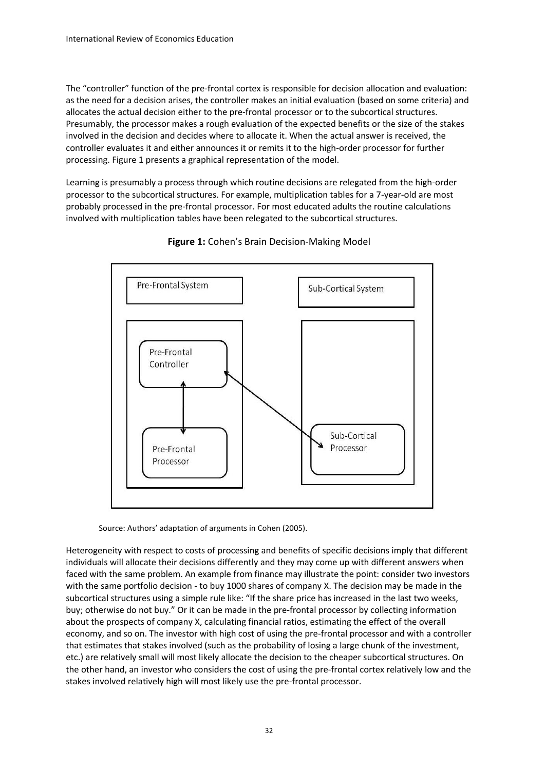The "controller" function of the pre-frontal cortex is responsible for decision allocation and evaluation: as the need for a decision arises, the controller makes an initial evaluation (based on some criteria) and allocates the actual decision either to the pre-frontal processor or to the subcortical structures. Presumably, the processor makes a rough evaluation of the expected benefits or the size of the stakes involved in the decision and decides where to allocate it. When the actual answer is received, the controller evaluates it and either announces it or remits it to the high-order processor for further processing. Figure 1 presents a graphical representation of the model.

Learning is presumably a process through which routine decisions are relegated from the high-order processor to the subcortical structures. For example, multiplication tables for a 7-year-old are most probably processed in the pre-frontal processor. For most educated adults the routine calculations involved with multiplication tables have been relegated to the subcortical structures.



**Figure 1:** Cohen's Brain Decision-Making Model

Source: Authors' adaptation of arguments in Cohen (2005).

Heterogeneity with respect to costs of processing and benefits of specific decisions imply that different individuals will allocate their decisions differently and they may come up with different answers when faced with the same problem. An example from finance may illustrate the point: consider two investors with the same portfolio decision - to buy 1000 shares of company X. The decision may be made in the subcortical structures using a simple rule like: "If the share price has increased in the last two weeks, buy; otherwise do not buy." Or it can be made in the pre-frontal processor by collecting information about the prospects of company X, calculating financial ratios, estimating the effect of the overall economy, and so on. The investor with high cost of using the pre-frontal processor and with a controller that estimates that stakes involved (such as the probability of losing a large chunk of the investment, etc.) are relatively small will most likely allocate the decision to the cheaper subcortical structures. On the other hand, an investor who considers the cost of using the pre-frontal cortex relatively low and the stakes involved relatively high will most likely use the pre-frontal processor.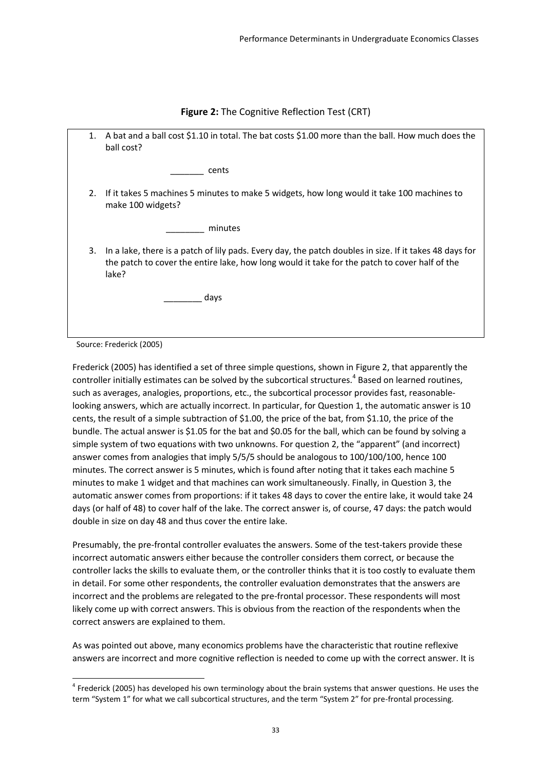**Figure 2:** The Cognitive Reflection Test (CRT)

| 1. | A bat and a ball cost \$1.10 in total. The bat costs \$1.00 more than the ball. How much does the<br>ball cost?                                                                                                   |
|----|-------------------------------------------------------------------------------------------------------------------------------------------------------------------------------------------------------------------|
|    | cents                                                                                                                                                                                                             |
| 2. | If it takes 5 machines 5 minutes to make 5 widgets, how long would it take 100 machines to<br>make 100 widgets?                                                                                                   |
|    | minutes                                                                                                                                                                                                           |
| 3. | In a lake, there is a patch of lily pads. Every day, the patch doubles in size. If it takes 48 days for<br>the patch to cover the entire lake, how long would it take for the patch to cover half of the<br>lake? |
|    | days                                                                                                                                                                                                              |
|    |                                                                                                                                                                                                                   |
|    | Source: Frederick (2005)                                                                                                                                                                                          |

Frederick (2005) has identified a set of three simple questions, shown in Figure 2, that apparently the controller initially estimates can be solved by the subcortical structures.<sup>4</sup> Based on learned routines, such as averages, analogies, proportions, etc., the subcortical processor provides fast, reasonablelooking answers, which are actually incorrect. In particular, for Question 1, the automatic answer is 10 cents, the result of a simple subtraction of \$1.00, the price of the bat, from \$1.10, the price of the bundle. The actual answer is \$1.05 for the bat and \$0.05 for the ball, which can be found by solving a simple system of two equations with two unknowns. For question 2, the "apparent" (and incorrect) answer comes from analogies that imply 5/5/5 should be analogous to 100/100/100, hence 100 minutes. The correct answer is 5 minutes, which is found after noting that it takes each machine 5 minutes to make 1 widget and that machines can work simultaneously. Finally, in Question 3, the automatic answer comes from proportions: if it takes 48 days to cover the entire lake, it would take 24 days (or half of 48) to cover half of the lake. The correct answer is, of course, 47 days: the patch would double in size on day 48 and thus cover the entire lake.

Presumably, the pre-frontal controller evaluates the answers. Some of the test-takers provide these incorrect automatic answers either because the controller considers them correct, or because the controller lacks the skills to evaluate them, or the controller thinks that it is too costly to evaluate them in detail. For some other respondents, the controller evaluation demonstrates that the answers are incorrect and the problems are relegated to the pre-frontal processor. These respondents will most likely come up with correct answers. This is obvious from the reaction of the respondents when the correct answers are explained to them.

As was pointed out above, many economics problems have the characteristic that routine reflexive answers are incorrect and more cognitive reflection is needed to come up with the correct answer. It is

<sup>&</sup>lt;sup>4</sup> Frederick (2005) has developed his own terminology about the brain systems that answer questions. He uses the term "System 1" for what we call subcortical structures, and the term "System 2" for pre-frontal processing.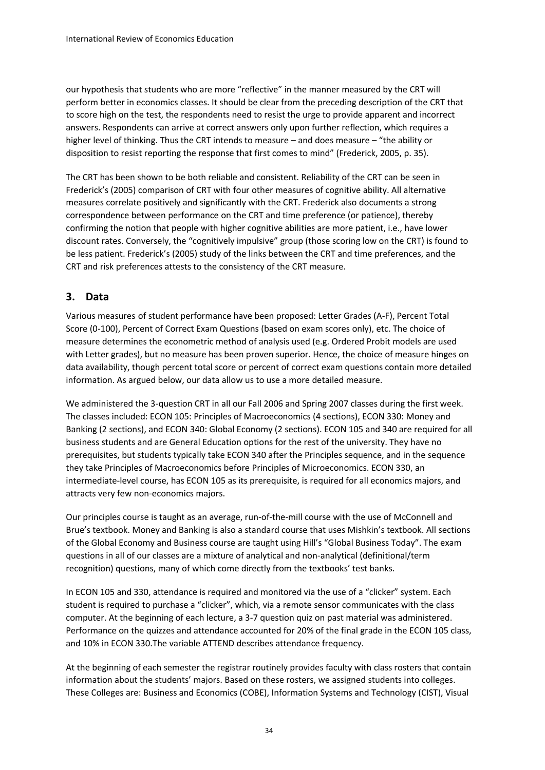our hypothesis that students who are more "reflective" in the manner measured by the CRT will perform better in economics classes. It should be clear from the preceding description of the CRT that to score high on the test, the respondents need to resist the urge to provide apparent and incorrect answers. Respondents can arrive at correct answers only upon further reflection, which requires a higher level of thinking. Thus the CRT intends to measure – and does measure – "the ability or disposition to resist reporting the response that first comes to mind" (Frederick, 2005, p. 35).

The CRT has been shown to be both reliable and consistent. Reliability of the CRT can be seen in Frederick's (2005) comparison of CRT with four other measures of cognitive ability. All alternative measures correlate positively and significantly with the CRT. Frederick also documents a strong correspondence between performance on the CRT and time preference (or patience), thereby confirming the notion that people with higher cognitive abilities are more patient, i.e., have lower discount rates. Conversely, the "cognitively impulsive" group (those scoring low on the CRT) is found to be less patient. Frederick's (2005) study of the links between the CRT and time preferences, and the CRT and risk preferences attests to the consistency of the CRT measure.

# **3. Data**

Various measures of student performance have been proposed: Letter Grades (A-F), Percent Total Score (0-100), Percent of Correct Exam Questions (based on exam scores only), etc. The choice of measure determines the econometric method of analysis used (e.g. Ordered Probit models are used with Letter grades), but no measure has been proven superior. Hence, the choice of measure hinges on data availability, though percent total score or percent of correct exam questions contain more detailed information. As argued below, our data allow us to use a more detailed measure.

We administered the 3-question CRT in all our Fall 2006 and Spring 2007 classes during the first week. The classes included: ECON 105: Principles of Macroeconomics (4 sections), ECON 330: Money and Banking (2 sections), and ECON 340: Global Economy (2 sections). ECON 105 and 340 are required for all business students and are General Education options for the rest of the university. They have no prerequisites, but students typically take ECON 340 after the Principles sequence, and in the sequence they take Principles of Macroeconomics before Principles of Microeconomics. ECON 330, an intermediate-level course, has ECON 105 as its prerequisite, is required for all economics majors, and attracts very few non-economics majors.

Our principles course is taught as an average, run-of-the-mill course with the use of McConnell and Brue's textbook. Money and Banking is also a standard course that uses Mishkin's textbook. All sections of the Global Economy and Business course are taught using Hill's "Global Business Today". The exam questions in all of our classes are a mixture of analytical and non-analytical (definitional/term recognition) questions, many of which come directly from the textbooks' test banks.

In ECON 105 and 330, attendance is required and monitored via the use of a "clicker" system. Each student is required to purchase a "clicker", which, via a remote sensor communicates with the class computer. At the beginning of each lecture, a 3-7 question quiz on past material was administered. Performance on the quizzes and attendance accounted for 20% of the final grade in the ECON 105 class, and 10% in ECON 330.The variable ATTEND describes attendance frequency.

At the beginning of each semester the registrar routinely provides faculty with class rosters that contain information about the students' majors. Based on these rosters, we assigned students into colleges. These Colleges are: Business and Economics (COBE), Information Systems and Technology (CIST), Visual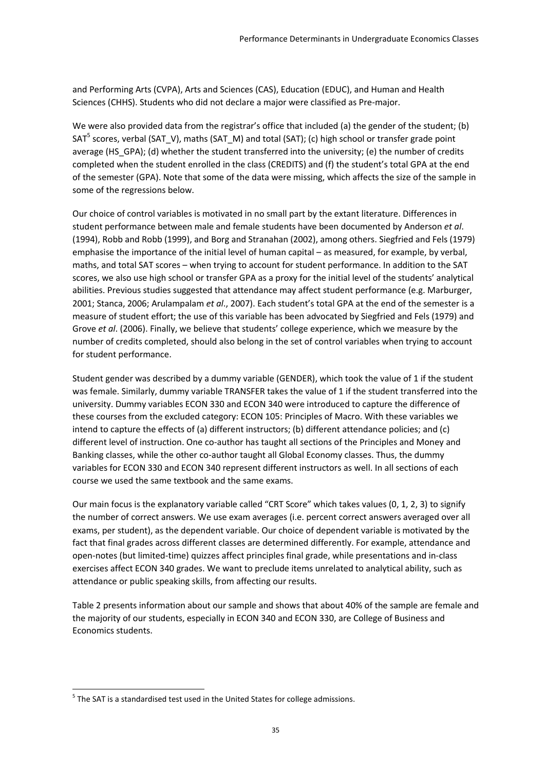and Performing Arts (CVPA), Arts and Sciences (CAS), Education (EDUC), and Human and Health Sciences (CHHS). Students who did not declare a major were classified as Pre-major.

We were also provided data from the registrar's office that included (a) the gender of the student; (b) SAT<sup>5</sup> scores, verbal (SAT\_V), maths (SAT\_M) and total (SAT); (c) high school or transfer grade point average (HS\_GPA); (d) whether the student transferred into the university; (e) the number of credits completed when the student enrolled in the class (CREDITS) and (f) the student's total GPA at the end of the semester (GPA). Note that some of the data were missing, which affects the size of the sample in some of the regressions below.

Our choice of control variables is motivated in no small part by the extant literature. Differences in student performance between male and female students have been documented by Anderson *et al*. (1994), Robb and Robb (1999), and Borg and Stranahan (2002), among others. Siegfried and Fels (1979) emphasise the importance of the initial level of human capital – as measured, for example, by verbal, maths, and total SAT scores – when trying to account for student performance. In addition to the SAT scores, we also use high school or transfer GPA as a proxy for the initial level of the students' analytical abilities. Previous studies suggested that attendance may affect student performance (e.g. Marburger, 2001; Stanca, 2006; Arulampalam *et al*., 2007). Each student's total GPA at the end of the semester is a measure of student effort; the use of this variable has been advocated by Siegfried and Fels (1979) and Grove *et al*. (2006). Finally, we believe that students' college experience, which we measure by the number of credits completed, should also belong in the set of control variables when trying to account for student performance.

Student gender was described by a dummy variable (GENDER), which took the value of 1 if the student was female. Similarly, dummy variable TRANSFER takes the value of 1 if the student transferred into the university. Dummy variables ECON 330 and ECON 340 were introduced to capture the difference of these courses from the excluded category: ECON 105: Principles of Macro. With these variables we intend to capture the effects of (a) different instructors; (b) different attendance policies; and (c) different level of instruction. One co-author has taught all sections of the Principles and Money and Banking classes, while the other co-author taught all Global Economy classes. Thus, the dummy variables for ECON 330 and ECON 340 represent different instructors as well. In all sections of each course we used the same textbook and the same exams.

Our main focus is the explanatory variable called "CRT Score" which takes values (0, 1, 2, 3) to signify the number of correct answers. We use exam averages (i.e. percent correct answers averaged over all exams, per student), as the dependent variable. Our choice of dependent variable is motivated by the fact that final grades across different classes are determined differently. For example, attendance and open-notes (but limited-time) quizzes affect principles final grade, while presentations and in-class exercises affect ECON 340 grades. We want to preclude items unrelated to analytical ability, such as attendance or public speaking skills, from affecting our results.

Table 2 presents information about our sample and shows that about 40% of the sample are female and the majority of our students, especially in ECON 340 and ECON 330, are College of Business and Economics students.

 $<sup>5</sup>$  The SAT is a standardised test used in the United States for college admissions.</sup>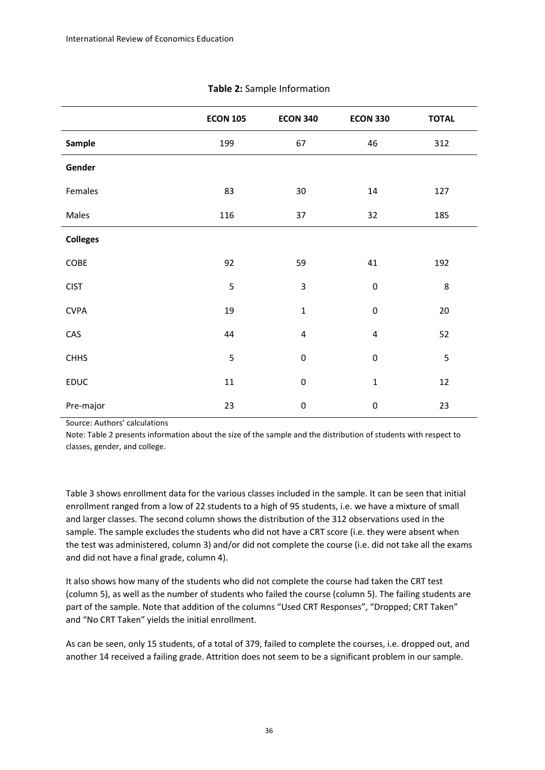|                 | <b>ECON 105</b> | <b>ECON 340</b>         | <b>ECON 330</b>         | <b>TOTAL</b> |
|-----------------|-----------------|-------------------------|-------------------------|--------------|
| Sample          | 199             | 67                      | 46                      | 312          |
| Gender          |                 |                         |                         |              |
| Females         | 83              | 30 <sup>°</sup>         | $14\,$                  | 127          |
| Males           | 116             | 37                      | 32                      | 185          |
| <b>Colleges</b> |                 |                         |                         |              |
| COBE            | 92              | 59                      | 41                      | 192          |
| <b>CIST</b>     | 5               | $\overline{\mathbf{3}}$ | $\pmb{0}$               | $\,8\,$      |
| <b>CVPA</b>     | 19              | $\mathbf 1$             | $\pmb{0}$               | 20           |
| CAS             | 44              | $\overline{\mathbf{4}}$ | $\overline{\mathbf{4}}$ | 52           |
| <b>CHHS</b>     | 5               | $\pmb{0}$               | $\pmb{0}$               | 5            |
| EDUC            | $11\,$          | $\pmb{0}$               | $\mathbf 1$             | 12           |
| Pre-major       | 23              | $\pmb{0}$               | $\pmb{0}$               | 23           |

### **Table 2:** Sample Information

Source: Authors' calculations

Note: Table 2 presents information about the size of the sample and the distribution of students with respect to classes, gender, and college.

Table 3 shows enrollment data for the various classes included in the sample. It can be seen that initial enrollment ranged from a low of 22 students to a high of 95 students, i.e. we have a mixture of small and larger classes. The second column shows the distribution of the 312 observations used in the sample. The sample excludes the students who did not have a CRT score (i.e. they were absent when the test was administered, column 3) and/or did not complete the course (i.e. did not take all the exams and did not have a final grade, column 4).

It also shows how many of the students who did not complete the course had taken the CRT test (column 5), as well as the number of students who failed the course (column 5). The failing students are part of the sample. Note that addition of the columns "Used CRT Responses", "Dropped; CRT Taken" and "No CRT Taken" yields the initial enrollment.

As can be seen, only 15 students, of a total of 379, failed to complete the courses, i.e. dropped out, and another 14 received a failing grade. Attrition does not seem to be a significant problem in our sample.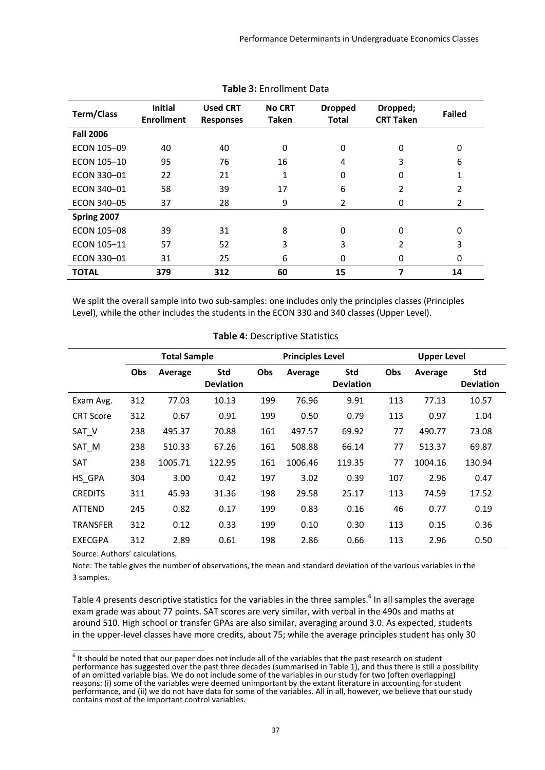| <b>Term/Class</b> | <b>Initial</b><br><b>Enrollment</b> | <b>Used CRT</b><br><b>Responses</b> | <b>No CRT</b><br><b>Taken</b> | <b>Dropped</b><br><b>Total</b> | Dropped;<br><b>CRT Taken</b> | <b>Failed</b>  |
|-------------------|-------------------------------------|-------------------------------------|-------------------------------|--------------------------------|------------------------------|----------------|
| <b>Fall 2006</b>  |                                     |                                     |                               |                                |                              |                |
| ECON 105-09       | 40                                  | 40                                  | $\Omega$                      | 0                              | 0                            | 0              |
| ECON 105-10       | 95                                  | 76                                  | 16                            | 4                              | 3                            | 6              |
| ECON 330-01       | 22                                  | 21                                  | 1                             | 0                              | 0                            | 1              |
| ECON 340-01       | 58                                  | 39                                  | 17                            | 6                              | 2                            | 2              |
| ECON 340-05       | 37                                  | 28                                  | 9                             | 2                              | 0                            | $\overline{2}$ |
| Spring 2007       |                                     |                                     |                               |                                |                              |                |
| ECON 105-08       | 39                                  | 31                                  | 8                             | 0                              | O                            | 0              |
| ECON 105-11       | 57                                  | 52                                  | 3                             | 3                              | $\overline{2}$               | 3              |
| ECON 330-01       | 31                                  | 25                                  | 6                             | 0                              | 0                            | 0              |
| <b>TOTAL</b>      | 379                                 | 312                                 | 60                            | 15                             | 7                            | 14             |

#### **Table 3:** Enrollment Data

We split the overall sample into two sub-samples: one includes only the principles classes (Principles Level), while the other includes the students in the ECON 330 and 340 classes (Upper Level).

|                  | <b>Total Sample</b> |         |                         | <b>Principles Level</b> |         |                                | <b>Upper Level</b> |         |                                |  |
|------------------|---------------------|---------|-------------------------|-------------------------|---------|--------------------------------|--------------------|---------|--------------------------------|--|
|                  | Obs                 | Average | Std<br><b>Deviation</b> | Obs                     | Average | <b>Std</b><br><b>Deviation</b> | Obs                | Average | <b>Std</b><br><b>Deviation</b> |  |
| Exam Avg.        | 312                 | 77.03   | 10.13                   | 199                     | 76.96   | 9.91                           | 113                | 77.13   | 10.57                          |  |
| <b>CRT Score</b> | 312                 | 0.67    | 0.91                    | 199                     | 0.50    | 0.79                           | 113                | 0.97    | 1.04                           |  |
| SAT V            | 238                 | 495.37  | 70.88                   | 161                     | 497.57  | 69.92                          | 77                 | 490.77  | 73.08                          |  |
| SAT M            | 238                 | 510.33  | 67.26                   | 161                     | 508.88  | 66.14                          | 77                 | 513.37  | 69.87                          |  |
| SAT              | 238                 | 1005.71 | 122.95                  | 161                     | 1006.46 | 119.35                         | 77                 | 1004.16 | 130.94                         |  |
| HS GPA           | 304                 | 3.00    | 0.42                    | 197                     | 3.02    | 0.39                           | 107                | 2.96    | 0.47                           |  |
| <b>CREDITS</b>   | 311                 | 45.93   | 31.36                   | 198                     | 29.58   | 25.17                          | 113                | 74.59   | 17.52                          |  |
| <b>ATTEND</b>    | 245                 | 0.82    | 0.17                    | 199                     | 0.83    | 0.16                           | 46                 | 0.77    | 0.19                           |  |
| <b>TRANSFER</b>  | 312                 | 0.12    | 0.33                    | 199                     | 0.10    | 0.30                           | 113                | 0.15    | 0.36                           |  |
| <b>EXECGPA</b>   | 312                 | 2.89    | 0.61                    | 198                     | 2.86    | 0.66                           | 113                | 2.96    | 0.50                           |  |

#### **Table 4:** Descriptive Statistics

Source: Authors' calculations.

Note: The table gives the number of observations, the mean and standard deviation of the various variables in the 3 samples.

Table 4 presents descriptive statistics for the variables in the three samples.<sup>6</sup> In all samples the average exam grade was about 77 points. SAT scores are very similar, with verbal in the 490s and maths at around 510. High school or transfer GPAs are also similar, averaging around 3.0. As expected, students in the upper-level classes have more credits, about 75; while the average principles student has only 30

 6 It should be noted that our paper does not include all of the variables that the past research on student performance has suggested over the past three decades (summarised in Table 1), and thus there is still a possibility of an omitted variable bias. We do not include some of the variables in our study for two (often overlapping) reasons: (i) some of the variables were deemed unimportant by the extant literature in accounting for student performance, and (ii) we do not have data for some of the variables. All in all, however, we believe that our study contains most of the important control variables.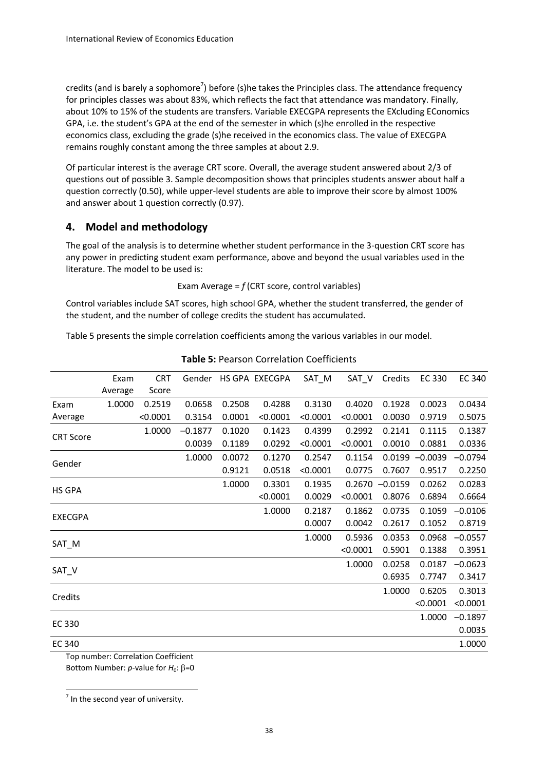credits (and is barely a sophomore<sup>7</sup>) before (s)he takes the Principles class. The attendance frequency for principles classes was about 83%, which reflects the fact that attendance was mandatory. Finally, about 10% to 15% of the students are transfers. Variable EXECGPA represents the EXcluding EConomics GPA, i.e. the student's GPA at the end of the semester in which (s)he enrolled in the respective economics class, excluding the grade (s)he received in the economics class. The value of EXECGPA remains roughly constant among the three samples at about 2.9.

Of particular interest is the average CRT score. Overall, the average student answered about 2/3 of questions out of possible 3. Sample decomposition shows that principles students answer about half a question correctly (0.50), while upper-level students are able to improve their score by almost 100% and answer about 1 question correctly (0.97).

# **4. Model and methodology**

The goal of the analysis is to determine whether student performance in the 3-question CRT score has any power in predicting student exam performance, above and beyond the usual variables used in the literature. The model to be used is:

Exam Average = *f* (CRT score, control variables)

Control variables include SAT scores, high school GPA, whether the student transferred, the gender of the student, and the number of college credits the student has accumulated.

Table 5 presents the simple correlation coefficients among the various variables in our model.

|                  | Exam                                                                                                                                                                                                                           | <b>CRT</b> | Gender    |        | HS GPA EXECGPA | SAT_M    | SAT V    | Credits   | EC 330    | EC 340    |
|------------------|--------------------------------------------------------------------------------------------------------------------------------------------------------------------------------------------------------------------------------|------------|-----------|--------|----------------|----------|----------|-----------|-----------|-----------|
|                  | Average                                                                                                                                                                                                                        | Score      |           |        |                |          |          |           |           |           |
| Exam             | 1.0000                                                                                                                                                                                                                         | 0.2519     | 0.0658    | 0.2508 | 0.4288         | 0.3130   | 0.4020   | 0.1928    | 0.0023    | 0.0434    |
| Average          |                                                                                                                                                                                                                                | < 0.0001   | 0.3154    | 0.0001 | < 0.0001       | < 0.0001 | < 0.0001 | 0.0030    | 0.9719    | 0.5075    |
| <b>CRT Score</b> |                                                                                                                                                                                                                                | 1.0000     | $-0.1877$ | 0.1020 | 0.1423         | 0.4399   | 0.2992   | 0.2141    | 0.1115    | 0.1387    |
|                  |                                                                                                                                                                                                                                |            | 0.0039    | 0.1189 | 0.0292         | < 0.0001 | < 0.0001 | 0.0010    | 0.0881    | 0.0336    |
| Gender           |                                                                                                                                                                                                                                |            | 1.0000    | 0.0072 | 0.1270         | 0.2547   | 0.1154   | 0.0199    | $-0.0039$ | $-0.0794$ |
|                  |                                                                                                                                                                                                                                |            |           | 0.9121 | 0.0518         | < 0.0001 | 0.0775   | 0.7607    | 0.9517    | 0.2250    |
| HS GPA           |                                                                                                                                                                                                                                |            |           | 1.0000 | 0.3301         | 0.1935   | 0.2670   | $-0.0159$ | 0.0262    | 0.0283    |
|                  |                                                                                                                                                                                                                                |            |           |        | < 0.0001       | 0.0029   | < 0.0001 | 0.8076    | 0.6894    | 0.6664    |
| <b>EXECGPA</b>   |                                                                                                                                                                                                                                |            |           |        | 1.0000         | 0.2187   | 0.1862   | 0.0735    | 0.1059    | $-0.0106$ |
|                  |                                                                                                                                                                                                                                |            |           |        |                | 0.0007   | 0.0042   | 0.2617    | 0.1052    | 0.8719    |
| SAT_M            |                                                                                                                                                                                                                                |            |           |        |                | 1.0000   | 0.5936   | 0.0353    | 0.0968    | $-0.0557$ |
|                  |                                                                                                                                                                                                                                |            |           |        |                |          | < 0.0001 | 0.5901    | 0.1388    | 0.3951    |
|                  |                                                                                                                                                                                                                                |            |           |        |                |          | 1.0000   | 0.0258    | 0.0187    | $-0.0623$ |
| SAT_V            |                                                                                                                                                                                                                                |            |           |        |                |          |          | 0.6935    | 0.7747    | 0.3417    |
| Credits          |                                                                                                                                                                                                                                |            |           |        |                |          |          | 1.0000    | 0.6205    | 0.3013    |
|                  |                                                                                                                                                                                                                                |            |           |        |                |          |          |           | < 0.0001  | < 0.0001  |
|                  |                                                                                                                                                                                                                                |            |           |        |                |          |          |           | 1.0000    | $-0.1897$ |
| EC 330           |                                                                                                                                                                                                                                |            |           |        |                |          |          |           |           | 0.0035    |
| EC 340           |                                                                                                                                                                                                                                |            |           |        |                |          |          |           |           | 1.0000    |
|                  | and the company of the company of the company of the company of the company of the company of the company of the company of the company of the company of the company of the company of the company of the company of the comp |            |           |        |                |          |          |           |           |           |

**Table 5:** Pearson Correlation Coefficients

Top number: Correlation Coefficient Bottom Number:  $p$ -value for  $H_0$ :  $\beta$ =0

<sup>-</sup> $<sup>7</sup>$  In the second year of university.</sup>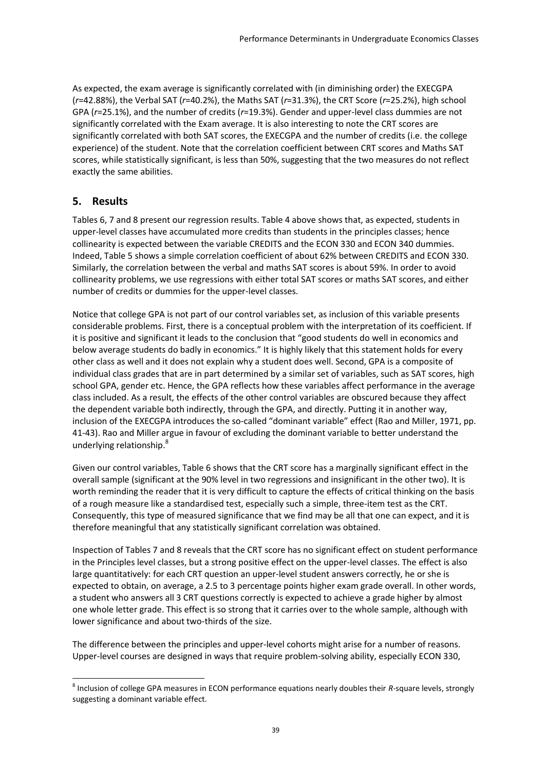As expected, the exam average is significantly correlated with (in diminishing order) the EXECGPA (*r*=42.88%), the Verbal SAT (*r*=40.2%), the Maths SAT (*r*=31.3%), the CRT Score (*r*=25.2%), high school GPA (*r*=25.1%), and the number of credits (*r*=19.3%). Gender and upper-level class dummies are not significantly correlated with the Exam average. It is also interesting to note the CRT scores are significantly correlated with both SAT scores, the EXECGPA and the number of credits (i.e. the college experience) of the student. Note that the correlation coefficient between CRT scores and Maths SAT scores, while statistically significant, is less than 50%, suggesting that the two measures do not reflect exactly the same abilities.

# **5. Results**

 $\overline{a}$ 

Tables 6, 7 and 8 present our regression results. Table 4 above shows that, as expected, students in upper-level classes have accumulated more credits than students in the principles classes; hence collinearity is expected between the variable CREDITS and the ECON 330 and ECON 340 dummies. Indeed, Table 5 shows a simple correlation coefficient of about 62% between CREDITS and ECON 330. Similarly, the correlation between the verbal and maths SAT scores is about 59%. In order to avoid collinearity problems, we use regressions with either total SAT scores or maths SAT scores, and either number of credits or dummies for the upper-level classes.

Notice that college GPA is not part of our control variables set, as inclusion of this variable presents considerable problems. First, there is a conceptual problem with the interpretation of its coefficient. If it is positive and significant it leads to the conclusion that "good students do well in economics and below average students do badly in economics." It is highly likely that this statement holds for every other class as well and it does not explain why a student does well. Second, GPA is a composite of individual class grades that are in part determined by a similar set of variables, such as SAT scores, high school GPA, gender etc. Hence, the GPA reflects how these variables affect performance in the average class included. As a result, the effects of the other control variables are obscured because they affect the dependent variable both indirectly, through the GPA, and directly. Putting it in another way, inclusion of the EXECGPA introduces the so-called "dominant variable" effect (Rao and Miller, 1971, pp. 41-43). Rao and Miller argue in favour of excluding the dominant variable to better understand the underlying relationship.<sup>8</sup>

Given our control variables, Table 6 shows that the CRT score has a marginally significant effect in the overall sample (significant at the 90% level in two regressions and insignificant in the other two). It is worth reminding the reader that it is very difficult to capture the effects of critical thinking on the basis of a rough measure like a standardised test, especially such a simple, three-item test as the CRT. Consequently, this type of measured significance that we find may be all that one can expect, and it is therefore meaningful that any statistically significant correlation was obtained.

Inspection of Tables 7 and 8 reveals that the CRT score has no significant effect on student performance in the Principles level classes, but a strong positive effect on the upper-level classes. The effect is also large quantitatively: for each CRT question an upper-level student answers correctly, he or she is expected to obtain, on average, a 2.5 to 3 percentage points higher exam grade overall. In other words, a student who answers all 3 CRT questions correctly is expected to achieve a grade higher by almost one whole letter grade. This effect is so strong that it carries over to the whole sample, although with lower significance and about two-thirds of the size.

The difference between the principles and upper-level cohorts might arise for a number of reasons. Upper-level courses are designed in ways that require problem-solving ability, especially ECON 330,

<sup>8</sup> Inclusion of college GPA measures in ECON performance equations nearly doubles their *R*-square levels, strongly suggesting a dominant variable effect.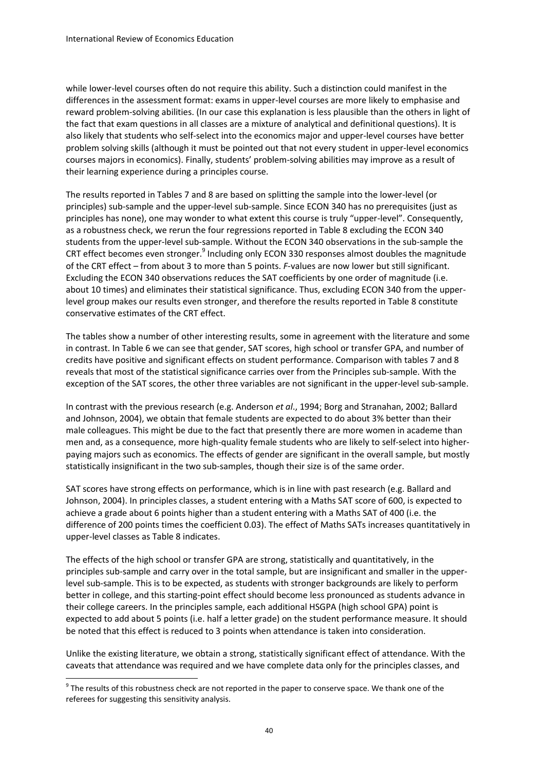while lower-level courses often do not require this ability. Such a distinction could manifest in the differences in the assessment format: exams in upper-level courses are more likely to emphasise and reward problem-solving abilities. (In our case this explanation is less plausible than the others in light of the fact that exam questions in all classes are a mixture of analytical and definitional questions). It is also likely that students who self-select into the economics major and upper-level courses have better problem solving skills (although it must be pointed out that not every student in upper-level economics courses majors in economics). Finally, students' problem-solving abilities may improve as a result of their learning experience during a principles course.

The results reported in Tables 7 and 8 are based on splitting the sample into the lower-level (or principles) sub-sample and the upper-level sub-sample. Since ECON 340 has no prerequisites (just as principles has none), one may wonder to what extent this course is truly "upper-level". Consequently, as a robustness check, we rerun the four regressions reported in Table 8 excluding the ECON 340 students from the upper-level sub-sample. Without the ECON 340 observations in the sub-sample the CRT effect becomes even stronger.<sup>9</sup> Including only ECON 330 responses almost doubles the magnitude of the CRT effect – from about 3 to more than 5 points. *F*-values are now lower but still significant. Excluding the ECON 340 observations reduces the SAT coefficients by one order of magnitude (i.e. about 10 times) and eliminates their statistical significance. Thus, excluding ECON 340 from the upperlevel group makes our results even stronger, and therefore the results reported in Table 8 constitute conservative estimates of the CRT effect.

The tables show a number of other interesting results, some in agreement with the literature and some in contrast. In Table 6 we can see that gender, SAT scores, high school or transfer GPA, and number of credits have positive and significant effects on student performance. Comparison with tables 7 and 8 reveals that most of the statistical significance carries over from the Principles sub-sample. With the exception of the SAT scores, the other three variables are not significant in the upper-level sub-sample.

In contrast with the previous research (e.g. Anderson *et al*., 1994; Borg and Stranahan, 2002; Ballard and Johnson, 2004), we obtain that female students are expected to do about 3% better than their male colleagues. This might be due to the fact that presently there are more women in academe than men and, as a consequence, more high-quality female students who are likely to self-select into higherpaying majors such as economics. The effects of gender are significant in the overall sample, but mostly statistically insignificant in the two sub-samples, though their size is of the same order.

SAT scores have strong effects on performance, which is in line with past research (e.g. Ballard and Johnson, 2004). In principles classes, a student entering with a Maths SAT score of 600, is expected to achieve a grade about 6 points higher than a student entering with a Maths SAT of 400 (i.e. the difference of 200 points times the coefficient 0.03). The effect of Maths SATs increases quantitatively in upper-level classes as Table 8 indicates.

The effects of the high school or transfer GPA are strong, statistically and quantitatively, in the principles sub-sample and carry over in the total sample, but are insignificant and smaller in the upperlevel sub-sample. This is to be expected, as students with stronger backgrounds are likely to perform better in college, and this starting-point effect should become less pronounced as students advance in their college careers. In the principles sample, each additional HSGPA (high school GPA) point is expected to add about 5 points (i.e. half a letter grade) on the student performance measure. It should be noted that this effect is reduced to 3 points when attendance is taken into consideration.

Unlike the existing literature, we obtain a strong, statistically significant effect of attendance. With the caveats that attendance was required and we have complete data only for the principles classes, and

-

 $9$  The results of this robustness check are not reported in the paper to conserve space. We thank one of the referees for suggesting this sensitivity analysis.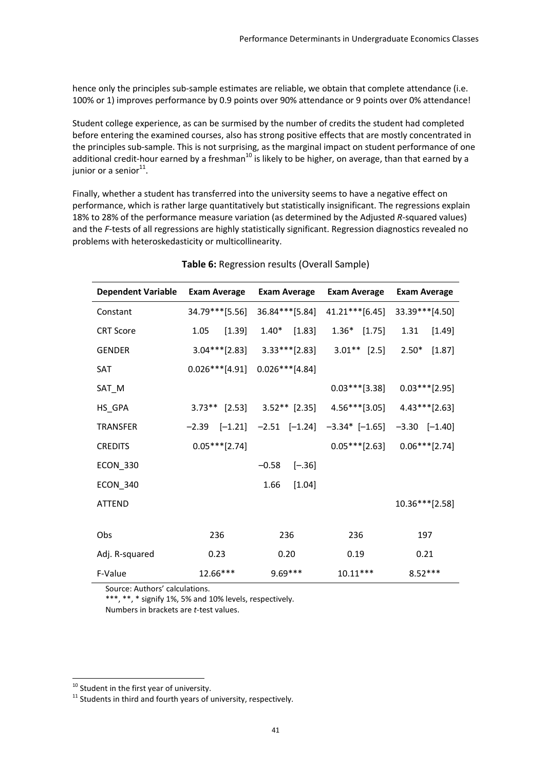hence only the principles sub-sample estimates are reliable, we obtain that complete attendance (i.e. 100% or 1) improves performance by 0.9 points over 90% attendance or 9 points over 0% attendance!

Student college experience, as can be surmised by the number of credits the student had completed before entering the examined courses, also has strong positive effects that are mostly concentrated in the principles sub-sample. This is not surprising, as the marginal impact on student performance of one additional credit-hour earned by a freshman<sup>10</sup> is likely to be higher, on average, than that earned by a junior or a senior $^{11}$ .

Finally, whether a student has transferred into the university seems to have a negative effect on performance, which is rather large quantitatively but statistically insignificant. The regressions explain 18% to 28% of the performance measure variation (as determined by the Adjusted *R*-squared values) and the *F*-tests of all regressions are highly statistically significant. Regression diagnostics revealed no problems with heteroskedasticity or multicollinearity.

| <b>Dependent Variable</b> | <b>Exam Average</b>               | <b>Exam Average</b> | <b>Exam Average</b>                                    | Exam Average      |  |
|---------------------------|-----------------------------------|---------------------|--------------------------------------------------------|-------------------|--|
| Constant                  | 34.79***[5.56]                    | 36.84***[5.84]      | $41.21***[6.45]$                                       | 33.39***[4.50]    |  |
| <b>CRT Score</b>          | 1.05<br>[1.39]                    | [1.83]<br>$1.40*$   | $1.36*$ [1.75]                                         | 1.31<br>[1.49]    |  |
| <b>GENDER</b>             | $3.04***$ [2.83]                  | $3.33***$ [2.83]    | $3.01**$ [2.5]                                         | $2.50*$<br>[1.87] |  |
| <b>SAT</b>                | $0.026***[4.91]$ $0.026***[4.84]$ |                     |                                                        |                   |  |
| SAT_M                     |                                   |                     | $0.03***$ [3.38]                                       | $0.03***$ [2.95]  |  |
| HS_GPA                    | $3.73**$ [2.53]                   | $3.52**$ [2.35]     | $4.56***[3.05]$                                        | $4.43***[2.63]$   |  |
| <b>TRANSFER</b>           |                                   |                     | $-2.39$ $[-1.21]$ $-2.51$ $[-1.24]$ $-3.34*$ $[-1.65]$ | $-3.30$ $[-1.40]$ |  |
| <b>CREDITS</b>            | $0.05***[2.74]$                   |                     | $0.05***$ [2.63]                                       | $0.06***[2.74]$   |  |
| ECON_330                  |                                   | $-0.58$<br>$[-.36]$ |                                                        |                   |  |
| ECON_340                  |                                   | 1.66<br>[1.04]      |                                                        |                   |  |
| <b>ATTEND</b>             |                                   |                     |                                                        | 10.36***[2.58]    |  |
|                           |                                   |                     |                                                        |                   |  |
| Obs                       | 236                               | 236                 | 236                                                    | 197               |  |
| Adj. R-squared            | 0.23                              | 0.20                | 0.19                                                   | 0.21              |  |
| F-Value                   | 12.66***                          | $9.69***$           | $10.11***$                                             | $8.52***$         |  |

## **Table 6:** Regression results (Overall Sample)

Source: Authors' calculations.

\*\*\*, \*\*, \* signify 1%, 5% and 10% levels, respectively.

Numbers in brackets are *t*-test values.

 $^{10}$  Student in the first year of university.

 $11$  Students in third and fourth years of university, respectively.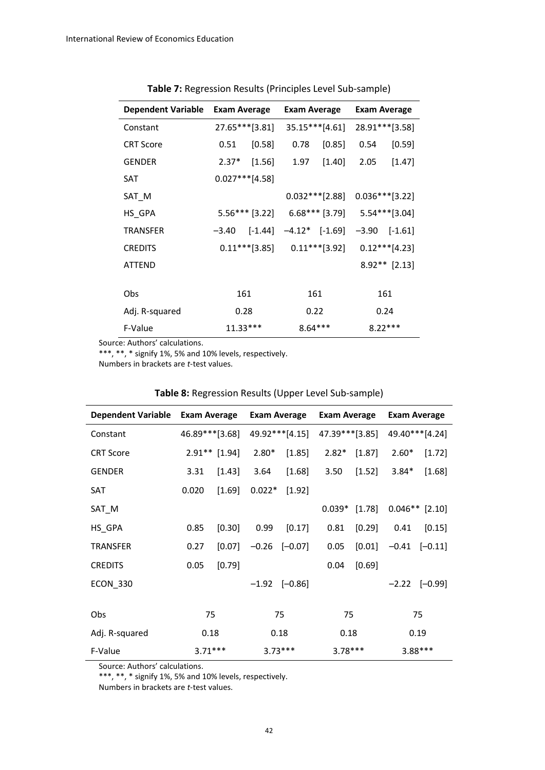| <b>Dependent Variable</b> | <b>Exam Average</b> |                  | <b>Exam Average</b> |                   | <b>Exam Average</b> |                   |  |
|---------------------------|---------------------|------------------|---------------------|-------------------|---------------------|-------------------|--|
| Constant                  | 27.65***[3.81]      |                  |                     | 35.15***[4.61]    |                     | 28.91***[3.58]    |  |
| <b>CRT Score</b>          | 0.51                | [0.58]           | 0.78                | [0.85]            | 0.54                | [0.59]            |  |
| <b>GENDER</b>             | $2.37*$             | $[1.56]$         | 1.97                | [1.40]            | 2.05                | $[1.47]$          |  |
| <b>SAT</b>                | $0.027***[4.58]$    |                  |                     |                   |                     |                   |  |
| SAT_M                     |                     |                  |                     | $0.032***$ [2.88] |                     | $0.036***[3.22]$  |  |
| HS_GPA                    |                     | $5.56***$ [3.22] |                     | $6.68***$ [3.79]  |                     | $5.54***[3.04]$   |  |
| <b>TRANSFER</b>           | $-3.40$             | $[-1.44]$        | $-4.12*$ $[-1.69]$  |                   |                     | $-3.90$ $[-1.61]$ |  |
| <b>CREDITS</b>            |                     | $0.11***[3.85]$  | $0.11***$ [3.92]    |                   | $0.12***[4.23]$     |                   |  |
| <b>ATTEND</b>             |                     |                  |                     |                   |                     | $8.92**$ [2.13]   |  |
|                           |                     |                  |                     |                   |                     |                   |  |
| Obs                       | 161                 |                  | 161                 |                   | 161                 |                   |  |
| Adj. R-squared            | 0.28                |                  | 0.22                |                   | 0.24                |                   |  |
| F-Value                   | $11.33***$          |                  | $8.64***$           |                   | $8.22***$           |                   |  |

**Table 7:** Regression Results (Principles Level Sub-sample)

Source: Authors' calculations.

\*\*\*, \*\*, \* signify 1%, 5% and 10% levels, respectively.

Numbers in brackets are *t*-test values.

| <b>Dependent Variable</b> | <b>Exam Average</b> |                 | <b>Exam Average</b> |                   | <b>Exam Average</b> |        | <b>Exam Average</b> |                   |
|---------------------------|---------------------|-----------------|---------------------|-------------------|---------------------|--------|---------------------|-------------------|
| Constant                  | 46.89***[3.68]      |                 |                     | 49.92***[4.15]    | 47.39***[3.85]      |        |                     | 49.40***[4.24]    |
| <b>CRT Score</b>          |                     | $2.91**$ [1.94] | $2.80*$             | [1.85]            | $2.82*$             | [1.87] | $2.60*$             | [1.72]            |
| <b>GENDER</b>             | 3.31                | [1.43]          | 3.64                | [1.68]            | 3.50                | [1.52] | $3.84*$             | [1.68]            |
| <b>SAT</b>                | 0.020               | [1.69]          | $0.022*$            | [1.92]            |                     |        |                     |                   |
| SAT_M                     |                     |                 |                     |                   | $0.039*$            | [1.78] |                     | $0.046**$ [2.10]  |
| HS_GPA                    | 0.85                | [0.30]          | 0.99                | [0.17]            | 0.81                | [0.29] | 0.41                | [0.15]            |
| <b>TRANSFER</b>           | 0.27                | $[0.07]$        | $-0.26$             | $[-0.07]$         | 0.05                | [0.01] | $-0.41$             | $[-0.11]$         |
| <b>CREDITS</b>            | 0.05                | [0.79]          |                     |                   | 0.04                | [0.69] |                     |                   |
| <b>ECON_330</b>           |                     |                 |                     | $-1.92$ $[-0.86]$ |                     |        |                     | $-2.22$ $[-0.99]$ |
|                           |                     |                 |                     |                   |                     |        |                     |                   |
| Obs                       | 75                  |                 |                     | 75                | 75                  |        |                     | 75                |
| Adj. R-squared            | 0.18                |                 |                     | 0.18              | 0.18                |        |                     | 0.19              |
| F-Value                   | $3.71***$           |                 |                     | $3.73***$         | $3.78***$           |        |                     | $3.88***$         |

## **Table 8:** Regression Results (Upper Level Sub-sample)

Source: Authors' calculations.

\*\*\*, \*\*, \* signify 1%, 5% and 10% levels, respectively.

Numbers in brackets are *t*-test values.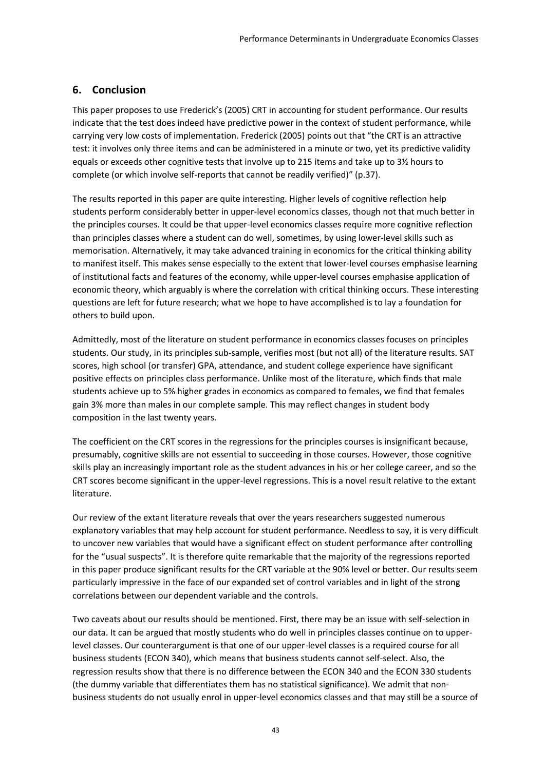# **6. Conclusion**

This paper proposes to use Frederick's (2005) CRT in accounting for student performance. Our results indicate that the test does indeed have predictive power in the context of student performance, while carrying very low costs of implementation. Frederick (2005) points out that "the CRT is an attractive test: it involves only three items and can be administered in a minute or two, yet its predictive validity equals or exceeds other cognitive tests that involve up to 215 items and take up to 3½ hours to complete (or which involve self-reports that cannot be readily verified)" (p.37).

The results reported in this paper are quite interesting. Higher levels of cognitive reflection help students perform considerably better in upper-level economics classes, though not that much better in the principles courses. It could be that upper-level economics classes require more cognitive reflection than principles classes where a student can do well, sometimes, by using lower-level skills such as memorisation. Alternatively, it may take advanced training in economics for the critical thinking ability to manifest itself. This makes sense especially to the extent that lower-level courses emphasise learning of institutional facts and features of the economy, while upper-level courses emphasise application of economic theory, which arguably is where the correlation with critical thinking occurs. These interesting questions are left for future research; what we hope to have accomplished is to lay a foundation for others to build upon.

Admittedly, most of the literature on student performance in economics classes focuses on principles students. Our study, in its principles sub-sample, verifies most (but not all) of the literature results. SAT scores, high school (or transfer) GPA, attendance, and student college experience have significant positive effects on principles class performance. Unlike most of the literature, which finds that male students achieve up to 5% higher grades in economics as compared to females, we find that females gain 3% more than males in our complete sample. This may reflect changes in student body composition in the last twenty years.

The coefficient on the CRT scores in the regressions for the principles courses is insignificant because, presumably, cognitive skills are not essential to succeeding in those courses. However, those cognitive skills play an increasingly important role as the student advances in his or her college career, and so the CRT scores become significant in the upper-level regressions. This is a novel result relative to the extant literature.

Our review of the extant literature reveals that over the years researchers suggested numerous explanatory variables that may help account for student performance. Needless to say, it is very difficult to uncover new variables that would have a significant effect on student performance after controlling for the "usual suspects". It is therefore quite remarkable that the majority of the regressions reported in this paper produce significant results for the CRT variable at the 90% level or better. Our results seem particularly impressive in the face of our expanded set of control variables and in light of the strong correlations between our dependent variable and the controls.

Two caveats about our results should be mentioned. First, there may be an issue with self-selection in our data. It can be argued that mostly students who do well in principles classes continue on to upperlevel classes. Our counterargument is that one of our upper-level classes is a required course for all business students (ECON 340), which means that business students cannot self-select. Also, the regression results show that there is no difference between the ECON 340 and the ECON 330 students (the dummy variable that differentiates them has no statistical significance). We admit that nonbusiness students do not usually enrol in upper-level economics classes and that may still be a source of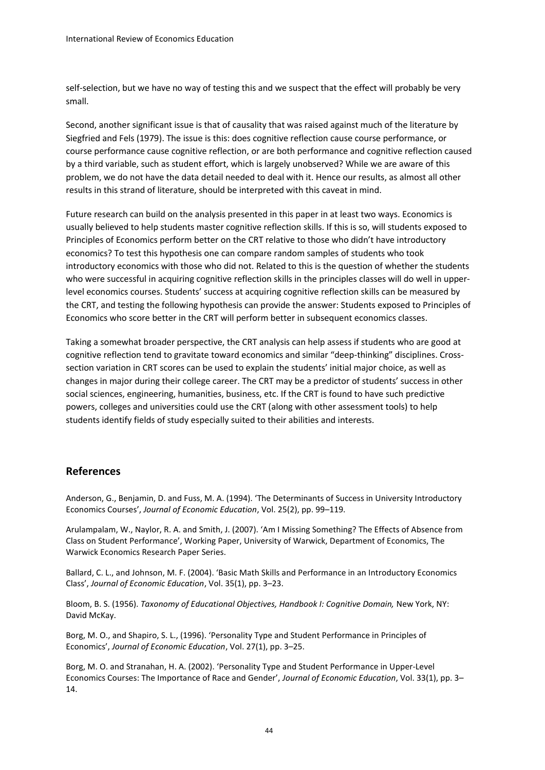self-selection, but we have no way of testing this and we suspect that the effect will probably be very small.

Second, another significant issue is that of causality that was raised against much of the literature by Siegfried and Fels (1979). The issue is this: does cognitive reflection cause course performance, or course performance cause cognitive reflection, or are both performance and cognitive reflection caused by a third variable, such as student effort, which is largely unobserved? While we are aware of this problem, we do not have the data detail needed to deal with it. Hence our results, as almost all other results in this strand of literature, should be interpreted with this caveat in mind.

Future research can build on the analysis presented in this paper in at least two ways. Economics is usually believed to help students master cognitive reflection skills. If this is so, will students exposed to Principles of Economics perform better on the CRT relative to those who didn't have introductory economics? To test this hypothesis one can compare random samples of students who took introductory economics with those who did not. Related to this is the question of whether the students who were successful in acquiring cognitive reflection skills in the principles classes will do well in upperlevel economics courses. Students' success at acquiring cognitive reflection skills can be measured by the CRT, and testing the following hypothesis can provide the answer: Students exposed to Principles of Economics who score better in the CRT will perform better in subsequent economics classes.

Taking a somewhat broader perspective, the CRT analysis can help assess if students who are good at cognitive reflection tend to gravitate toward economics and similar "deep-thinking" disciplines. Crosssection variation in CRT scores can be used to explain the students' initial major choice, as well as changes in major during their college career. The CRT may be a predictor of students' success in other social sciences, engineering, humanities, business, etc. If the CRT is found to have such predictive powers, colleges and universities could use the CRT (along with other assessment tools) to help students identify fields of study especially suited to their abilities and interests.

## **References**

Anderson, G., Benjamin, D. and Fuss, M. A. (1994). 'The Determinants of Success in University Introductory Economics Courses', *Journal of Economic Education*, Vol. 25(2), pp. 99–119.

Arulampalam, W., Naylor, R. A. and Smith, J. (2007). 'Am I Missing Something? The Effects of Absence from Class on Student Performance', Working Paper, University of Warwick, Department of Economics, The Warwick Economics Research Paper Series.

Ballard, C. L., and Johnson, M. F. (2004). 'Basic Math Skills and Performance in an Introductory Economics Class', *Journal of Economic Education*, Vol. 35(1), pp. 3–23.

Bloom, B. S. (1956). *Taxonomy of Educational Objectives, Handbook I: Cognitive Domain,* New York, NY: David McKay.

Borg, M. O., and Shapiro, S. L., (1996). 'Personality Type and Student Performance in Principles of Economics', *Journal of Economic Education*, Vol. 27(1), pp. 3–25.

Borg, M. O. and Stranahan, H. A. (2002). 'Personality Type and Student Performance in Upper-Level Economics Courses: The Importance of Race and Gender', *Journal of Economic Education*, Vol. 33(1), pp. 3– 14.